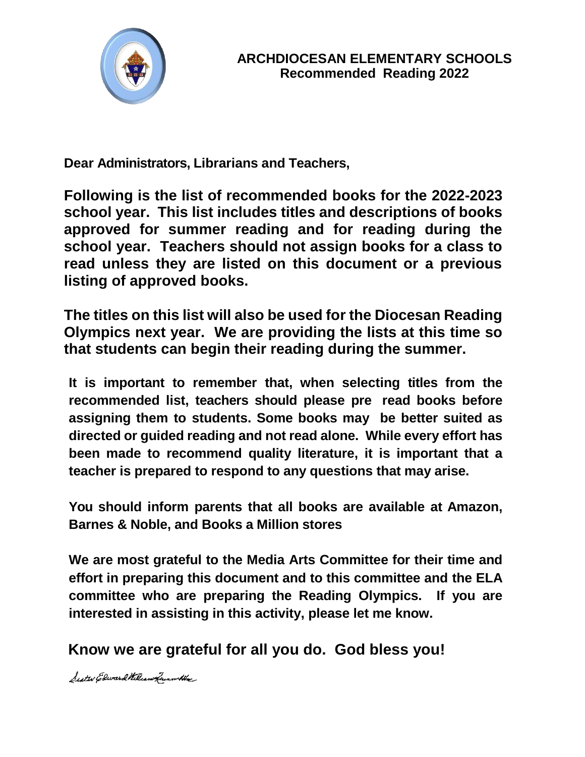

**Dear Administrators, Librarians and Teachers,**

**Following is the list of recommended books for the 2022-2023 school year. This list includes titles and descriptions of books approved for summer reading and for reading during the school year. Teachers should not assign books for a class to read unless they are listed on this document or a previous listing of approved books.**

**The titles on this list will also be used for the Diocesan Reading Olympics next year. We are providing the lists at this time so that students can begin their reading during the summer.**

**It is important to remember that, when selecting titles from the recommended list, teachers should please pre read books before assigning them to students. Some books may be better suited as directed or guided reading and not read alone. While every effort has been made to recommend quality literature, it is important that a teacher is prepared to respond to any questions that may arise.**

**You should inform parents that all books are available at Amazon, Barnes & Noble, and Books a Million stores**

**We are most grateful to the Media Arts Committee for their time and effort in preparing this document and to this committee and the ELA committee who are preparing the Reading Olympics. If you are interested in assisting in this activity, please let me know.**

**Know we are grateful for all you do. God bless you!**

Seater Edward William from the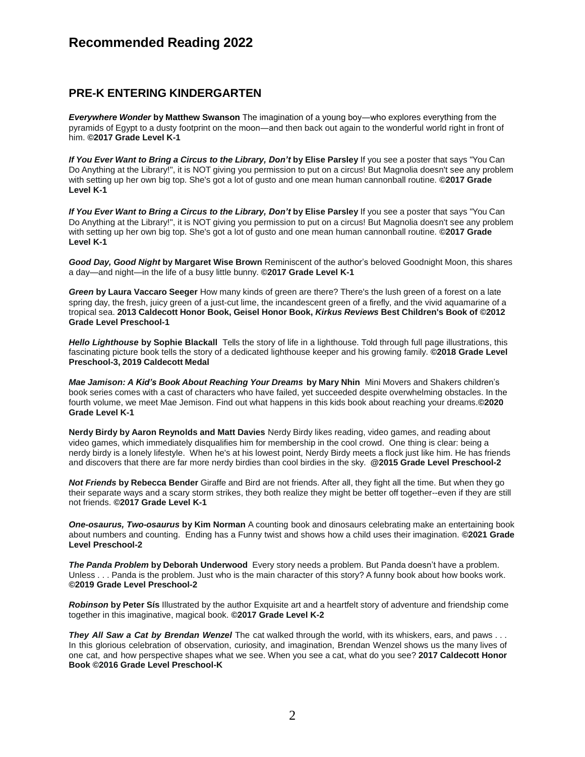#### **PRE-K ENTERING KINDERGARTEN**

*Everywhere Wonder* **by Matthew Swanson** The imagination of a young boy―who explores everything from the pyramids of Egypt to a dusty footprint on the moon―and then back out again to the wonderful world right in front of him. **©2017 Grade Level K-1**

*If You Ever Want to Bring a Circus to the Library, Don't* **by Elise Parsley** If you see a poster that says "You Can Do Anything at the Library!", it is NOT giving you permission to put on a circus! But Magnolia doesn't see any problem with setting up her own big top. She's got a lot of gusto and one mean human cannonball routine. **©2017 Grade Level K-1**

*If You Ever Want to Bring a Circus to the Library, Don't* **by Elise Parsley** If you see a poster that says "You Can Do Anything at the Library!", it is NOT giving you permission to put on a circus! But Magnolia doesn't see any problem with setting up her own big top. She's got a lot of gusto and one mean human cannonball routine. **©2017 Grade Level K-1**

*Good Day, Good Night* **by Margaret Wise Brown** Reminiscent of the author's beloved Goodnight Moon, this shares a day—and night—in the life of a busy little bunny. **©2017 Grade Level K-1**

*Green* **by Laura Vaccaro Seeger** How many kinds of green are there? There's the lush green of a forest on a late spring day, the fresh, juicy green of a just-cut lime, the incandescent green of a firefly, and the vivid aquamarine of a tropical sea. **2013 Caldecott Honor Book, Geisel Honor Book,** *Kirkus Reviews* **Best Children's Book of ©2012 Grade Level Preschool-1**

*Hello Lighthouse* **by Sophie [Blackall](https://www.lbyr.com/contributor/sophie-blackall/)** Tells the story of life in a lighthouse. Told through full page illustrations, this fascinating picture book tells the story of a dedicated lighthouse keeper and his growing family. **©2018 Grade Level Preschool-3, 2019 Caldecott Medal**

*Mae Jamison: A Kid's Book About Reaching Your Dreams* **by Mary Nhin** Mini Movers and Shakers children's book series comes with a cast of characters who have failed, yet succeeded despite overwhelming obstacles. In the fourth volume, we meet Mae Jemison. Find out what happens in this kids book about reaching your dreams.**©2020 Grade Level K-1**

**Nerdy Birdy by Aaron Reynolds and Matt Davies** Nerdy Birdy likes reading, video games, and reading about video games, which immediately disqualifies him for membership in the cool crowd. One thing is clear: being a nerdy birdy is a lonely lifestyle. When he's at his lowest point, Nerdy Birdy meets a flock just like him. He has friends and discovers that there are far more nerdy birdies than cool birdies in the sky. **@2015 Grade Level Preschool-2**

*Not Friends* **by Rebecca Bender** Giraffe and Bird are not friends. After all, they fight all the time. But when they go their separate ways and a scary storm strikes, they both realize they might be better off together--even if they are still not friends. **©2017 Grade Level K-1**

*One-osaurus, Two-osaurus* **by Kim Norman** A counting book and dinosaurs celebrating make an entertaining book about numbers and counting. Ending has a Funny twist and shows how a child uses their imagination. **©2021 Grade Level Preschool-2**

*The Panda Problem* **by Deborah Underwood** Every story needs a problem. But Panda doesn't have a problem. Unless . . . Panda is the problem. Just who is the main character of this story? A funny book about how books work. **©2019 Grade Level Preschool-2**

*Robinson* **by Peter Sís** Illustrated by the author Exquisite art and a heartfelt story of adventure and friendship come together in this imaginative, magical book. **©2017 Grade Level K-2**

*They All Saw a Cat by Brendan Wenzel* The cat walked through the world, with its whiskers, ears, and paws . . . In this glorious celebration of observation, curiosity, and imagination, Brendan Wenzel shows us the many lives of one cat, and how perspective shapes what we see. When you see a cat, what do you see? **2017 Caldecott Honor Book ©2016 Grade Level Preschool-K**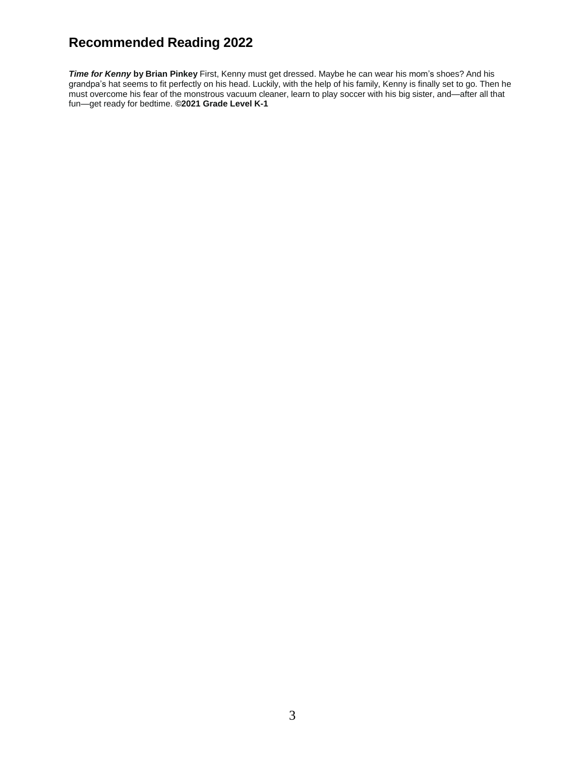*Time for Kenny* **by Brian Pinkey** First, Kenny must get dressed. Maybe he can wear his mom's shoes? And his grandpa's hat seems to fit perfectly on his head. Luckily, with the help of his family, Kenny is finally set to go. Then he must overcome his fear of the monstrous vacuum cleaner, learn to play soccer with his big sister, and—after all that fun—get ready for bedtime. **©2021 Grade Level K-1**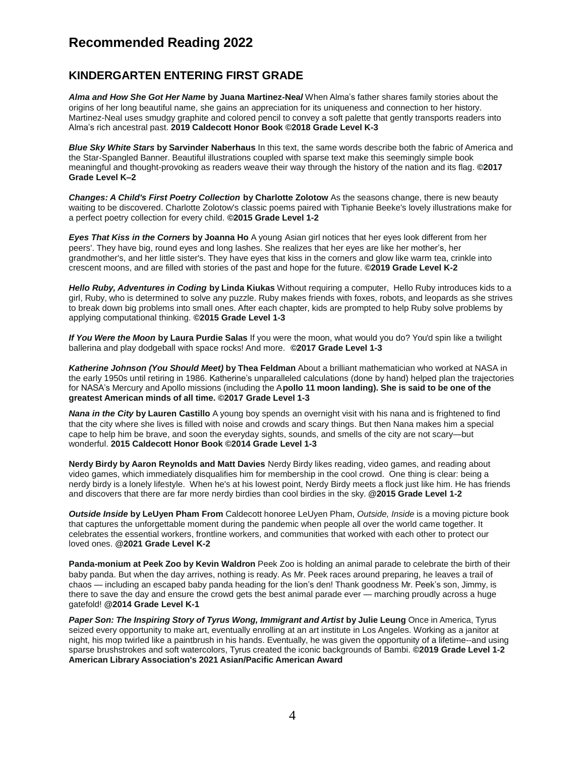#### **KINDERGARTEN ENTERING FIRST GRADE**

*Alma and How She Got Her Name* **by Juana Martinez-Nea***l* When Alma's father shares family stories about the origins of her long beautiful name, she gains an appreciation for its uniqueness and connection to her history. Martinez-Neal uses smudgy graphite and colored pencil to convey a soft palette that gently transports readers into Alma's rich ancestral past. **2019 Caldecott Honor Book ©2018 Grade Level K-3**

*Blue Sky White Stars* **by Sarvinder Naberhaus** In this text, the same words describe both the fabric of America and the Star-Spangled Banner. Beautiful illustrations coupled with sparse text make this seemingly simple book meaningful and thought-provoking as readers weave their way through the history of the nation and its flag. **©2017 Grade Level K–2**

*Changes: A Child's First Poetry Collection* **by Charlotte Zolotow** As the seasons change, there is new beauty waiting to be discovered. Charlotte Zolotow's classic poems paired with Tiphanie Beeke's lovely illustrations make for a perfect poetry collection for every child. **©2015 Grade Level 1-2**

*Eyes That Kiss in the Corners* **by Joanna Ho** A young Asian girl notices that her eyes look different from her peers'. They have big, round eyes and long lashes. She realizes that her eyes are like her mother's, her grandmother's, and her little sister's. They have eyes that kiss in the corners and glow like warm tea, crinkle into crescent moons, and are filled with stories of the past and hope for the future. **©2019 Grade Level K-2**

*Hello Ruby, Adventures in Coding* **by Linda Kiukas** Without requiring a computer, Hello Ruby introduces kids to a girl, Ruby, who is determined to solve any puzzle. Ruby makes friends with foxes, robots, and leopards as she strives to break down big problems into small ones. After each chapter, kids are prompted to help Ruby solve problems by applying computational thinking. **©2015 Grade Level 1-3**

*If You Were the Moon* **by Laura Purdie Salas** If you were the moon, what would you do? You'd spin like a twilight ballerina and play dodgeball with space rocks! And more. **©2017 Grade Level 1-3**

*Katherine Johnson (You Should Meet)* **by Thea Feldman** About a brilliant mathematician who worked at NASA in the early 1950s until retiring in 1986. Katherine's unparalleled calculations (done by hand) helped plan the trajectories for NASA's Mercury and Apollo missions (including the A**pollo 11 moon landing). She is said to be one of the greatest American minds of all time. ©2017 Grade Level 1-3**

*Nana in the City* **by Lauren Castillo** A young boy spends an overnight visit with his nana and is frightened to find that the city where she lives is filled with noise and crowds and scary things. But then Nana makes him a special cape to help him be brave, and soon the everyday sights, sounds, and smells of the city are not scary—but wonderful. **2015 Caldecott Honor Book ©2014 Grade Level 1-3**

**Nerdy Birdy by Aaron Reynolds and Matt Davies** Nerdy Birdy likes reading, video games, and reading about video games, which immediately disqualifies him for membership in the cool crowd. One thing is clear: being a nerdy birdy is a lonely lifestyle. When he's at his lowest point, Nerdy Birdy meets a flock just like him. He has friends and discovers that there are far more nerdy birdies than cool birdies in the sky. **@2015 Grade Level 1-2**

*Outside Inside* **by LeUyen Pham From** Caldecott honoree LeUyen Pham, *Outside, Inside* is a moving picture book that captures the unforgettable moment during the pandemic when people all over the world came together. It celebrates the essential workers, frontline workers, and communities that worked with each other to protect our loved ones. **@2021 Grade Level K-2**

**Panda-monium at Peek Zoo by Kevin Waldron** Peek Zoo is holding an animal parade to celebrate the birth of their baby panda. But when the day arrives, nothing is ready. As Mr. Peek races around preparing, he leaves a trail of chaos — including an escaped baby panda heading for the lion's den! Thank goodness Mr. Peek's son, Jimmy, is there to save the day and ensure the crowd gets the best animal parade ever — marching proudly across a huge gatefold! **@2014 Grade Level K-1**

*Paper Son: The Inspiring Story of Tyrus Wong, Immigrant and Artist* **by Julie Leung** Once in America, Tyrus seized every opportunity to make art, eventually enrolling at an art institute in Los Angeles. Working as a janitor at night, his mop twirled like a paintbrush in his hands. Eventually, he was given the opportunity of a lifetime--and using sparse brushstrokes and soft watercolors, Tyrus created the iconic backgrounds of Bambi. **©2019 Grade Level 1-2 American Library Association's 2021 Asian/Pacific American Award**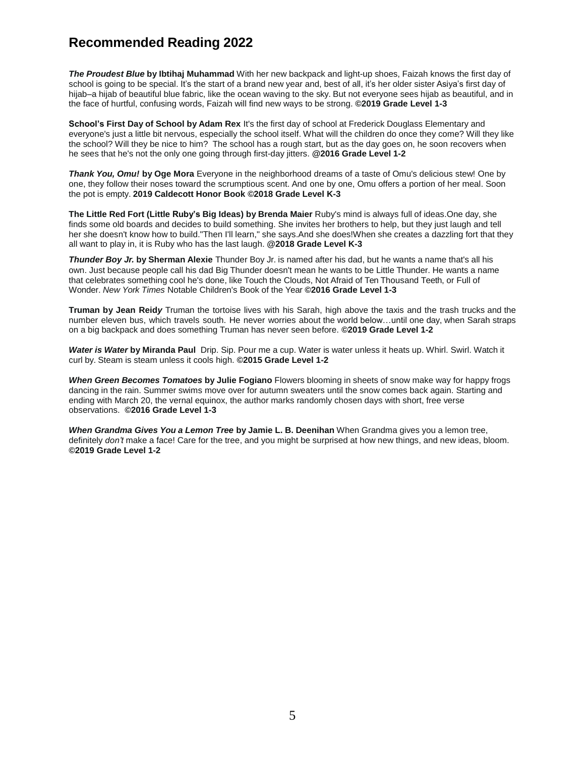*The Proudest Blue* **by Ibtihaj Muhammad** With her new backpack and light-up shoes, Faizah knows the first day of school is going to be special. It's the start of a brand new year and, best of all, it's her older sister Asiya's first day of hijab–a hijab of beautiful blue fabric, like the ocean waving to the sky. But not everyone sees hijab as beautiful, and in the face of hurtful, confusing words, Faizah will find new ways to be strong. **©2019 Grade Level 1-3**

**School's First Day of School by Adam Rex** It's the first day of school at Frederick Douglass Elementary and everyone's just a little bit nervous, especially the school itself. What will the children do once they come? Will they like the school? Will they be nice to him? The school has a rough start, but as the day goes on, he soon recovers when he sees that he's not the only one going through first-day jitters. **@2016 Grade Level 1-2**

*Thank You, Omu!* **by Oge Mora** Everyone in the neighborhood dreams of a taste of Omu's delicious stew! One by one, they follow their noses toward the scrumptious scent. And one by one, Omu offers a portion of her meal. Soon the pot is empty. **2019 Caldecott Honor Book ©2018 Grade Level K-3**

**The Little Red Fort (Little Ruby's Big Ideas) by Brenda Maier** Ruby's mind is always full of ideas.One day, she finds some old boards and decides to build something. She invites her brothers to help, but they just laugh and tell her she doesn't know how to build."Then I'll learn," she says.And she does!When she creates a dazzling fort that they all want to play in, it is Ruby who has the last laugh. **@2018 Grade Level K-3**

*Thunder Boy Jr.* **by Sherman Alexie** Thunder Boy Jr. is named after his dad, but he wants a name that's all his own. Just because people call his dad Big Thunder doesn't mean he wants to be Little Thunder. He wants a name that celebrates something cool he's done, like Touch the Clouds, Not Afraid of Ten Thousand Teeth, or Full of Wonder. *New York Times* Notable Children's Book of the Year **©2016 Grade Level 1-3**

**Truman by Jean Reid***y* Truman the tortoise lives with his Sarah, high above the taxis and the trash trucks and the number eleven bus, which travels south. He never worries about the world below…until one day, when Sarah straps on a big backpack and does something Truman has never seen before. **©2019 Grade Level 1-2**

*Water is Water* **by Miranda Paul** Drip. Sip. Pour me a cup. Water is water unless it heats up. Whirl. Swirl. Watch it curl by. Steam is steam unless it cools high. **©2015 Grade Level 1-2**

*When Green Becomes Tomatoes* **by Julie Fogiano** Flowers blooming in sheets of snow make way for happy frogs dancing in the rain. Summer swims move over for autumn sweaters until the snow comes back again. Starting and ending with March 20, the vernal equinox, the author marks randomly chosen days with short, free verse observations. **©2016 Grade Level 1-3**

*When Grandma Gives You a Lemon Tree* **by Jamie L. B. Deenihan** When Grandma gives you a lemon tree, definitely *don't* make a face! Care for the tree, and you might be surprised at how new things, and new ideas, bloom. **©2019 Grade Level 1-2**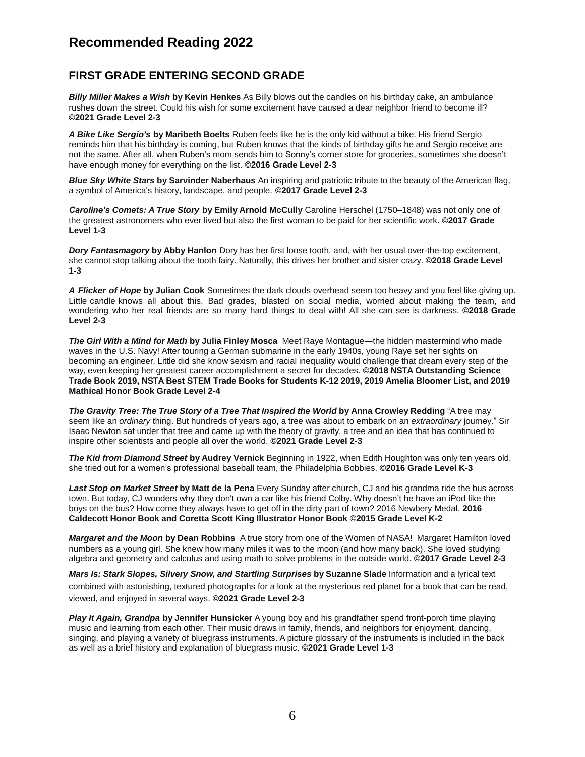#### **FIRST GRADE ENTERING SECOND GRADE**

*Billy Miller Makes a Wish* **by Kevin Henkes** As Billy blows out the candles on his birthday cake, an ambulance rushes down the street. Could his wish for some excitement have caused a dear neighbor friend to become ill? **©2021 Grade Level 2-3**

*A Bike Like Sergio's* **by Maribeth Boelts** Ruben feels like he is the only kid without a bike. His friend Sergio reminds him that his birthday is coming, but Ruben knows that the kinds of birthday gifts he and Sergio receive are not the same. After all, when Ruben's mom sends him to Sonny's corner store for groceries, sometimes she doesn't have enough money for everything on the list. **©2016 Grade Level 2-3**

*Blue Sky White Stars* **by Sarvinder Naberhaus** An inspiring and patriotic tribute to the beauty of the American flag, a symbol of America's history, landscape, and people. **©2017 Grade Level 2-3**

*Caroline's Comets: A True Story* **by Emily Arnold McCully** Caroline Herschel (1750–1848) was not only one of the greatest astronomers who ever lived but also the first woman to be paid for her scientific work. **©2017 Grade Level 1-3**

*Dory Fantasmagory* **by Abby Hanlon** Dory has her first loose tooth, and, with her usual over-the-top excitement, she cannot stop talking about the tooth fairy. Naturally, this drives her brother and sister crazy. **©2018 Grade Level 1-3**

*A Flicker of Hope* **by Julian Cook** Sometimes the dark clouds overhead seem too heavy and you feel like giving up. Little candle knows all about this. Bad grades, blasted on social media, worried about making the team, and wondering who her real friends are so many hard things to deal with! All she can see is darkness. **©2018 Grade Level 2-3**

*The Girl With a Mind for Math* **by Julia Finley Mosca** Meet Raye Montague**―**the hidden mastermind who made waves in the U.S. Navy! After touring a German submarine in the early 1940s, young Raye set her sights on becoming an engineer. Little did she know sexism and racial inequality would challenge that dream every step of the way, even keeping her greatest career accomplishment a secret for decades. **©2018 NSTA Outstanding Science Trade Book 2019, NSTA Best STEM Trade Books for Students K-12 2019, 2019 Amelia Bloomer List, and 2019 Mathical Honor Book Grade Level 2-4**

*The Gravity Tree: The True Story of a Tree That Inspired the World* **by Anna Crowley Redding** "A tree may seem like an *ordinary* thing. But hundreds of years ago, a tree was about to embark on an *extraordinary* journey." Sir Isaac Newton sat under that tree and came up with the theory of gravity, a tree and an idea that has continued to inspire other scientists and people all over the world. **©2021 Grade Level 2-3**

*The Kid from Diamond Street* **by Audrey Vernick** Beginning in 1922, when Edith Houghton was only ten years old, she tried out for a women's professional baseball team, the Philadelphia Bobbies. **©2016 Grade Level K-3**

*Last Stop on Market Street* **by Matt de la Pena** Every Sunday after church, CJ and his grandma ride the bus across town. But today, CJ wonders why they don't own a car like his friend Colby. Why doesn't he have an iPod like the boys on the bus? How come they always have to get off in the dirty part of town? 2016 Newbery Medal, **2016 Caldecott Honor Book and Coretta Scott King Illustrator Honor Book ©2015 Grade Level K-2**

*Margaret and the Moon* **by Dean Robbins** A true story from one of the Women of NASA! Margaret Hamilton loved numbers as a young girl. She knew how many miles it was to the moon (and how many back). She loved studying algebra and geometry and calculus and using math to solve problems in the outside world. **©2017 Grade Level 2-3**

*Mars Is: Stark Slopes, Silvery Snow, and Startling Surprises* **by Suzanne Slade** Information and a lyrical text combined with astonishing, textured photographs for a look at the mysterious red planet for a book that can be read, viewed, and enjoyed in several ways. **©2021 Grade Level 2-3**

*Play It Again, Grandpa* **by Jennifer Hunsicker** A young boy and his grandfather spend front-porch time playing music and learning from each other. Their music draws in family, friends, and neighbors for enjoyment, dancing, singing, and playing a variety of bluegrass instruments. A picture glossary of the instruments is included in the back as well as a brief history and explanation of bluegrass music. **©2021 Grade Level 1-3**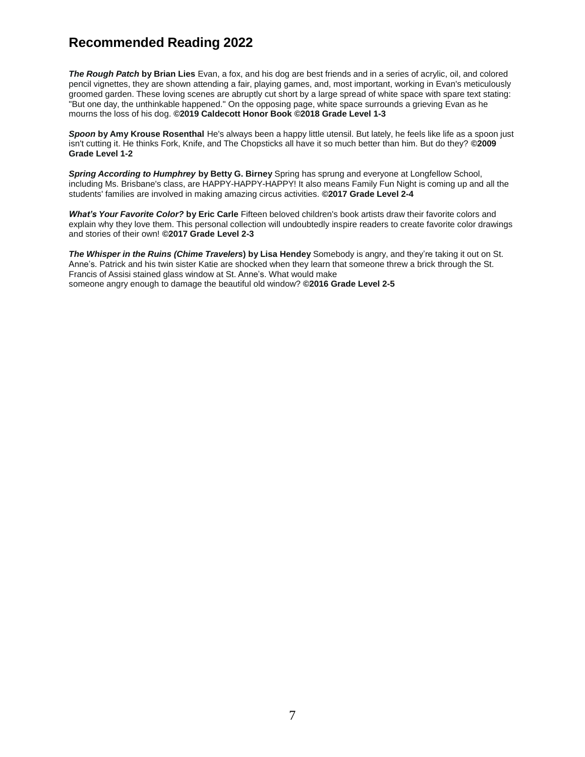*The Rough Patch* **by Brian Lies** Evan, a fox, and his dog are best friends and in a series of acrylic, oil, and colored pencil vignettes, they are shown attending a fair, playing games, and, most important, working in Evan's meticulously groomed garden. These loving scenes are abruptly cut short by a large spread of white space with spare text stating: "But one day, the unthinkable happened." On the opposing page, white space surrounds a grieving Evan as he mourns the loss of his dog. **©2019 Caldecott Honor Book ©2018 Grade Level 1-3**

*Spoon* **by Amy Krouse Rosenthal** He's always been a happy little utensil. But lately, he feels like life as a spoon just isn't cutting it. He thinks Fork, Knife, and The Chopsticks all have it so much better than him. But do they? **©2009 Grade Level 1-2**

*Spring According to Humphrey* **by Betty G. Birney** Spring has sprung and everyone at Longfellow School, including Ms. Brisbane's class, are HAPPY-HAPPY-HAPPY! It also means Family Fun Night is coming up and all the students' families are involved in making amazing circus activities. **©2017 Grade Level 2-4**

*What's Your Favorite Color?* **by Eric Carle** Fifteen beloved children's book artists draw their favorite colors and explain why they love them. This personal collection will undoubtedly inspire readers to create favorite color drawings and stories of their own! **©2017 Grade Level 2-3**

*The Whisper in the Ruins (Chime Travelers***) by Lisa Hendey** Somebody is angry, and they're taking it out on St. Anne's. Patrick and his twin sister Katie are shocked when they learn that someone threw a brick through the St. Francis of Assisi stained glass window at St. Anne's. What would make someone angry enough to damage the beautiful old window? **©2016 Grade Level 2-5**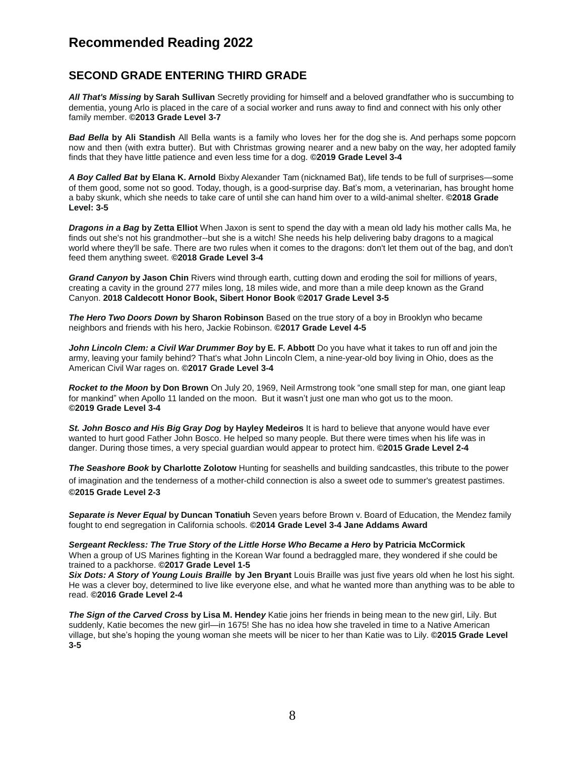#### **SECOND GRADE ENTERING THIRD GRADE**

*All That's Missing* **by Sarah Sullivan** Secretly providing for himself and a beloved grandfather who is succumbing to dementia, young Arlo is placed in the care of a social worker and runs away to find and connect with his only other family member. **©2013 Grade Level 3-7**

*Bad Bella* **by Ali Standish** All Bella wants is a family who loves her for the dog she is. And perhaps some popcorn now and then (with extra butter). But with Christmas growing nearer and a new baby on the way, her adopted family finds that they have little patience and even less time for a dog. **©2019 Grade Level 3-4**

*A Boy Called Bat* **by Elana K. Arnold** Bixby Alexander Tam (nicknamed Bat), life tends to be full of surprises—some of them good, some not so good. Today, though, is a good-surprise day. Bat's mom, a veterinarian, has brought home a baby skunk, which she needs to take care of until she can hand him over to a wild-animal shelter. **©2018 Grade Level: 3-5**

*Dragons in a Bag* **by Zetta Elliot** When Jaxon is sent to spend the day with a mean old lady his mother calls Ma, he finds out she's not his grandmother--but she is a witch! She needs his help delivering baby dragons to a magical world where they'll be safe. There are two rules when it comes to the dragons: don't let them out of the bag, and don't feed them anything sweet. **©2018 Grade Level 3-4**

*Grand Canyon* **by Jason Chin** Rivers wind through earth, cutting down and eroding the soil for millions of years, creating a cavity in the ground 277 miles long, 18 miles wide, and more than a mile deep known as the Grand Canyon. **2018 Caldecott Honor Book, Sibert Honor Book ©2017 Grade Level 3-5**

*The Hero Two Doors Down* **by Sharon Robinson** Based on the true story of a boy in Brooklyn who became neighbors and friends with his hero, Jackie Robinson. **©2017 Grade Level 4-5**

*John Lincoln Clem: a Civil War Drummer Boy* **by E. F. Abbott** Do you have what it takes to run off and join the army, leaving your family behind? That's what John Lincoln Clem, a nine-year-old boy living in Ohio, does as the American Civil War rages on. **©2017 Grade Level 3-4**

*Rocket to the Moon* **by Don Brown** On July 20, 1969, Neil Armstrong took "one small step for man, one giant leap for mankind" when Apollo 11 landed on the moon. But it wasn't just one man who got us to the moon. **©2019 Grade Level 3-4**

*St. John Bosco and His Big Gray Dog* **by Hayley Medeiros** It is hard to believe that anyone would have ever wanted to hurt good Father John Bosco. He helped so many people. But there were times when his life was in danger. During those times, a very special guardian would appear to protect him. **©2015 Grade Level 2-4**

*The Seashore Book* **by Charlotte Zolotow** Hunting for seashells and building sandcastles, this tribute to the power of imagination and the tenderness of a mother-child connection is also a sweet ode to summer's greatest pastimes. **©2015 Grade Level 2-3**

*Separate is Never Equal* **by Duncan Tonatiuh** Seven years before Brown v. Board of Education, the Mendez family fought to end segregation in California schools. **©2014 Grade Level 3-4 Jane Addams Award**

*Sergeant Reckless: The True Story of the Little Horse Who Became a Hero* **by Patricia McCormick** When a group of US Marines fighting in the Korean War found a bedraggled mare, they wondered if she could be trained to a packhorse. **©2017 Grade Level 1-5**

*Six Dots: A Story of Young Louis Braille* **by Jen Bryant** Louis Braille was just five years old when he lost his sight. He was a clever boy, determined to live like everyone else, and what he wanted more than anything was to be able to read. **©2016 Grade Level 2-4**

*The Sign of the Carved Cross* **by Lisa M. Hende***y* Katie joins her friends in being mean to the new girl, Lily. But suddenly, Katie becomes the new girl—in 1675! She has no idea how she traveled in time to a Native American village, but she's hoping the young woman she meets will be nicer to her than Katie was to Lily. **©2015 Grade Level 3-5**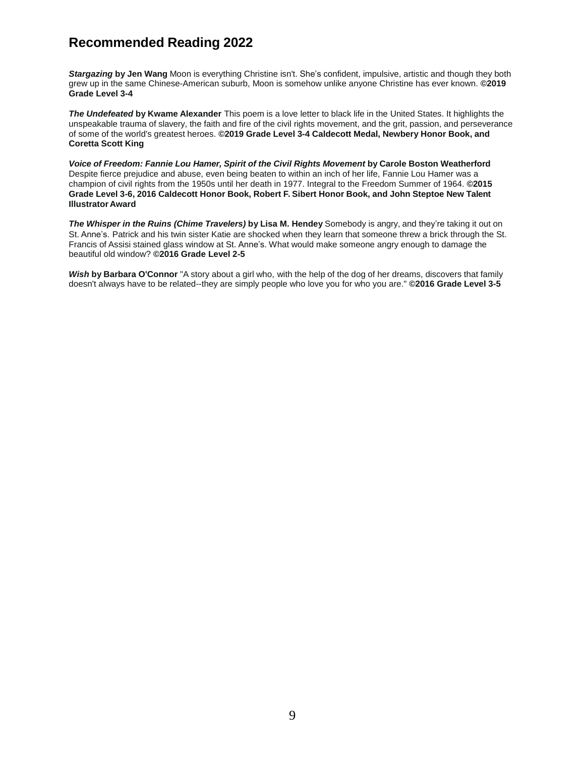*Stargazing* **by Jen Wang** Moon is everything Christine isn't. She's confident, impulsive, artistic and though they both grew up in the same Chinese-American suburb, Moon is somehow unlike anyone Christine has ever known. **©2019 Grade Level 3-4**

*The Undefeated* **by Kwame Alexander** This poem is a love letter to black life in the United States. It highlights the unspeakable trauma of slavery, the faith and fire of the civil rights movement, and the grit, passion, and perseverance of some of the world's greatest heroes. **©2019 Grade Level 3-4 Caldecott Medal, Newbery Honor Book, and Coretta Scott King**

*Voice of Freedom: Fannie Lou Hamer, Spirit of the Civil Rights Movement* **by Carole Boston Weatherford** Despite fierce prejudice and abuse, even being beaten to within an inch of her life, Fannie Lou Hamer was a champion of civil rights from the 1950s until her death in 1977. Integral to the Freedom Summer of 1964. **©2015 Grade Level 3-6, 2016 Caldecott Honor Book, Robert F. Sibert Honor Book, and John Steptoe New Talent Illustrator Award**

*The Whisper in the Ruins (Chime Travelers)* **by Lisa M. Hendey** Somebody is angry, and they're taking it out on St. Anne's. Patrick and his twin sister Katie are shocked when they learn that someone threw a brick through the St. Francis of Assisi stained glass window at St. Anne's. What would make someone angry enough to damage the beautiful old window? **©2016 Grade Level 2-5**

*Wish* **by Barbara O'Connor** "A story about a girl who, with the help of the dog of her dreams, discovers that family doesn't always have to be related--they are simply people who love you for who you are." **©2016 Grade Level 3-5**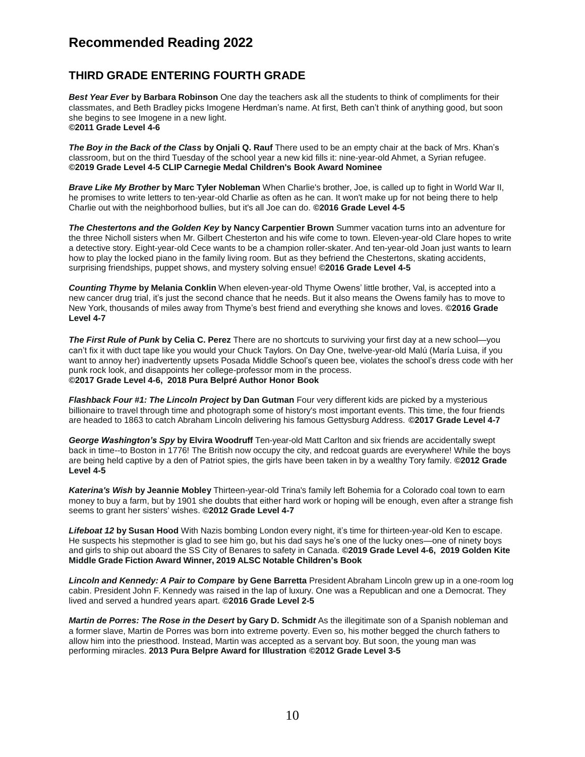#### **THIRD GRADE ENTERING FOURTH GRADE**

*Best Year Ever* **by Barbara Robinson** One day the teachers ask all the students to think of compliments for their classmates, and Beth Bradley picks Imogene Herdman's name. At first, Beth can't think of anything good, but soon she begins to see Imogene in a new light. **©2011 Grade Level 4-6**

*The Boy in the Back of the Class* **by Onjali Q. Rauf** There used to be an empty chair at the back of Mrs. Khan's classroom, but on the third Tuesday of the school year a new kid fills it: nine-year-old Ahmet, a Syrian refugee. **©2019 Grade Level 4-5 CLIP Carnegie Medal Children's Book Award Nominee**

*Brave Like My Brother* **by Marc Tyler Nobleman** When Charlie's brother, Joe, is called up to fight in World War II, he promises to write letters to ten-year-old Charlie as often as he can. It won't make up for not being there to help Charlie out with the neighborhood bullies, but it's all Joe can do. **©2016 Grade Level 4-5**

*The Chestertons and the Golden Key* **by Nancy Carpentier Brown** Summer vacation turns into an adventure for the three Nicholl sisters when Mr. Gilbert Chesterton and his wife come to town. Eleven-year-old Clare hopes to write a detective story. Eight-year-old Cece wants to be a champion roller-skater. And ten-year-old Joan just wants to learn how to play the locked piano in the family living room. But as they befriend the Chestertons, skating accidents, surprising friendships, puppet shows, and mystery solving ensue! **©2016 Grade Level 4-5**

*Counting Thyme* **by Melania Conklin** When eleven-year-old Thyme Owens' little brother, Val, is accepted into a new cancer drug trial, it's just the second chance that he needs. But it also means the Owens family has to move to New York, thousands of miles away from Thyme's best friend and everything she knows and loves. **©2016 Grade Level 4-7**

*The First Rule of Punk* **by Celia C. Perez** There are no shortcuts to surviving your first day at a new school—you can't fix it with duct tape like you would your Chuck Taylors. On Day One, twelve-year-old Malú (María Luisa, if you want to annoy her) inadvertently upsets Posada Middle School's queen bee, violates the school's dress code with her punk rock look, and disappoints her college-professor mom in the process. **©2017 Grade Level 4-6, 2018 Pura Belpré Author Honor Book**

*Flashback Four #1: The Lincoln Project* **by Dan Gutman** Four very different kids are picked by a mysterious billionaire to travel through time and photograph some of history's most important events. This time, the four friends are headed to 1863 to catch Abraham Lincoln delivering his famous Gettysburg Address. **©2017 Grade Level 4-7**

*George Washington's Spy* **by Elvira Woodruff** Ten-year-old Matt Carlton and six friends are accidentally swept back in time--to Boston in 1776! The British now occupy the city, and redcoat guards are everywhere! While the boys are being held captive by a den of Patriot spies, the girls have been taken in by a wealthy Tory family. **©2012 Grade Level 4-5**

*Katerina's Wish* **by Jeannie Mobley** Thirteen-year-old Trina's family left Bohemia for a Colorado coal town to earn money to buy a farm, but by 1901 she doubts that either hard work or hoping will be enough, even after a strange fish seems to grant her sisters' wishes. **©2012 Grade Level 4-7**

*Lifeboat 12* **by Susan Hood** With Nazis bombing London every night, it's time for thirteen-year-old Ken to escape. He suspects his stepmother is glad to see him go, but his dad says he's one of the lucky ones—one of ninety boys and girls to ship out aboard the SS City of Benares to safety in Canada. **©2019 Grade Level 4-6, 2019 Golden Kite Middle Grade Fiction Award Winner, 2019 ALSC Notable Children's Book**

*Lincoln and Kennedy: A Pair to Compare* **by Gene Barretta** President Abraham Lincoln grew up in a one-room log cabin. President John F. Kennedy was raised in the lap of luxury. One was a Republican and one a Democrat. They lived and served a hundred years apart. **©2016 Grade Level 2-5**

*Martin de Porres: The Rose in the Desert* **by Gary D. Schmid***t* As the illegitimate son of a Spanish nobleman and a former slave, Martin de Porres was born into extreme poverty. Even so, his mother begged the church fathers to allow him into the priesthood. Instead, Martin was accepted as a servant boy. But soon, the young man was performing miracles. **2013 Pura Belpre Award for Illustration ©2012 Grade Level 3-5**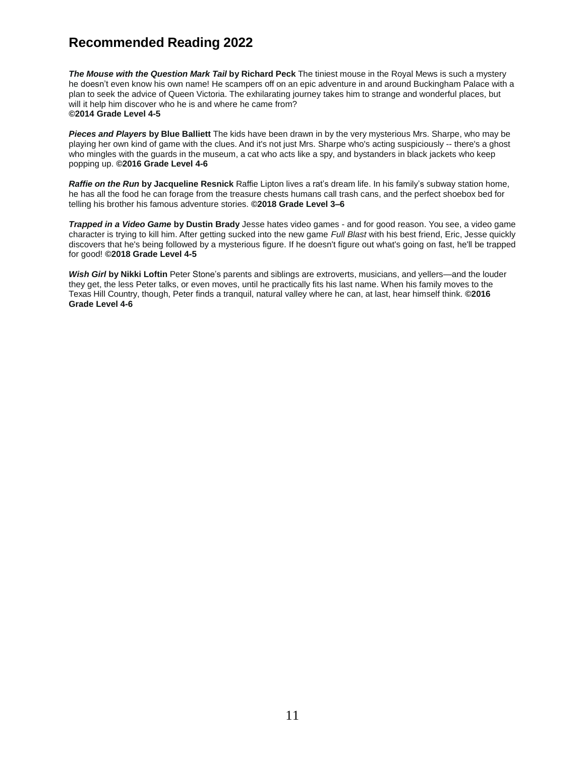*The Mouse with the Question Mark Tail* **by Richard Peck** The tiniest mouse in the Royal Mews is such a mystery he doesn't even know his own name! He scampers off on an epic adventure in and around Buckingham Palace with a plan to seek the advice of Queen Victoria. The exhilarating journey takes him to strange and wonderful places, but will it help him discover who he is and where he came from? **©2014 Grade Level 4-5**

*Pieces and Players* **by Blue Balliett** The kids have been drawn in by the very mysterious Mrs. Sharpe, who may be playing her own kind of game with the clues. And it's not just Mrs. Sharpe who's acting suspiciously -- there's a ghost who mingles with the guards in the museum, a cat who acts like a spy, and bystanders in black jackets who keep popping up. **©2016 Grade Level 4-6**

*Raffie on the Run* **by Jacqueline Resnick** Raffie Lipton lives a rat's dream life. In his family's subway station home, he has all the food he can forage from the treasure chests humans call trash cans, and the perfect shoebox bed for telling his brother his famous adventure stories. **©2018 Grade Level 3–6**

*Trapped in a Video Game* **by Dustin Brady** Jesse hates video games - and for good reason. You see, a video game character is trying to kill him. After getting sucked into the new game *Full Blast* with his best friend, Eric, Jesse quickly discovers that he's being followed by a mysterious figure. If he doesn't figure out what's going on fast, he'll be trapped for good! **©2018 Grade Level 4-5**

*Wish Girl* **by Nikki Loftin** Peter Stone's parents and siblings are extroverts, musicians, and yellers—and the louder they get, the less Peter talks, or even moves, until he practically fits his last name. When his family moves to the Texas Hill Country, though, Peter finds a tranquil, natural valley where he can, at last, hear himself think. **©2016 Grade Level 4-6**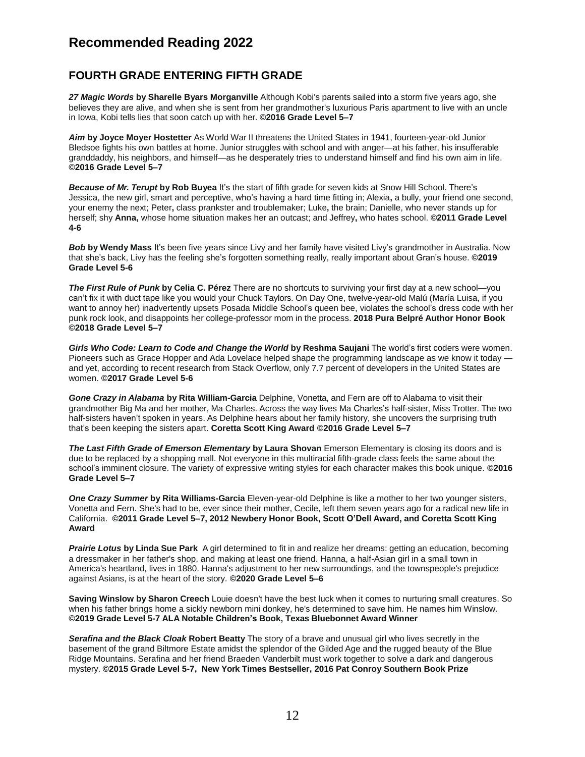#### **FOURTH GRADE ENTERING FIFTH GRADE**

*27 Magic Words* **by Sharelle Byars Morganville** Although Kobi's parents sailed into a storm five years ago, she believes they are alive, and when she is sent from her grandmother's luxurious Paris apartment to live with an uncle in Iowa, Kobi tells lies that soon catch up with her. **©2016 Grade Level 5–7**

*Aim* **by Joyce Moyer Hostetter** As World War II threatens the United States in 1941, fourteen-year-old Junior Bledsoe fights his own battles at home. Junior struggles with school and with anger—at his father, his insufferable granddaddy, his neighbors, and himself—as he desperately tries to understand himself and find his own aim in life. **©2016 Grade Level 5–7**

*Because of Mr. Terupt* **by Rob Buyea** It's the start of fifth grade for seven kids at Snow Hill School. There's Jessica, the new girl, smart and perceptive, who's having a hard time fitting in; Alexia**,** a bully, your friend one second, your enemy the next; Peter**,** class prankster and troublemaker; Luke**,** the brain; Danielle, who never stands up for herself; shy **Anna,** whose home situation makes her an outcast; and Jeffrey**,** who hates school. **©2011 Grade Level 4-6**

*Bob* **by Wendy Mass** It's been five years since Livy and her family have visited Livy's grandmother in Australia. Now that she's back, Livy has the feeling she's forgotten something really, really important about Gran's house. **©2019 Grade Level 5-6**

*The First Rule of Punk* **by Celia C. Pérez** There are no shortcuts to surviving your first day at a new school—you can't fix it with duct tape like you would your Chuck Taylors. On Day One, twelve-year-old Malú (María Luisa, if you want to annoy her) inadvertently upsets Posada Middle School's queen bee, violates the school's dress code with her punk rock look, and disappoints her college-professor mom in the process. **2018 Pura Belpré Author Honor Book ©2018 Grade Level 5–7**

*Girls Who Code: Learn to Code and Change the World* **by Reshma Saujani** The world's first coders were women. Pioneers such as Grace Hopper and Ada Lovelace helped shape the programming landscape as we know it today and yet, according to recent research from Stack Overflow, only 7.7 percent of developers in the United States are women. **©2017 Grade Level 5-6**

*Gone Crazy in Alabama* **by Rita William-Garcia** Delphine, Vonetta, and Fern are off to Alabama to visit their grandmother Big Ma and her mother, Ma Charles. Across the way lives Ma Charles's half-sister, Miss Trotter. The two half-sisters haven't spoken in years. As Delphine hears about her family history, she uncovers the surprising truth that's been keeping the sisters apart. **Coretta Scott King Award ©2016 Grade Level 5–7**

*The Last Fifth Grade of Emerson Elementary* **by Laura Shovan** Emerson Elementary is closing its doors and is due to be replaced by a shopping mall. Not everyone in this multiracial fifth-grade class feels the same about the school's imminent closure. The variety of expressive writing styles for each character makes this book unique. **©2016 Grade Level 5–7**

*One Crazy Summer* **by Rita Williams-Garcia** Eleven-year-old Delphine is like a mother to her two younger sisters, Vonetta and Fern. She's had to be, ever since their mother, Cecile, left them seven years ago for a radical new life in California. **©2011 Grade Level 5–7, 2012 Newbery Honor Book, Scott O'Dell Award, and Coretta Scott King Award**

*Prairie Lotus* **by Linda Sue Park** A girl determined to fit in and realize her dreams: getting an education, becoming a dressmaker in her father's shop, and making at least one friend. Hanna, a half-Asian girl in a small town in America's heartland, lives in 1880. Hanna's adjustment to her new surroundings, and the townspeople's prejudice against Asians, is at the heart of the story. **©2020 Grade Level 5–6**

**Saving Winslow by Sharon Creech** Louie doesn't have the best luck when it comes to nurturing small creatures. So when his father brings home a sickly newborn mini donkey, he's determined to save him. He names him Winslow. **©2019 Grade Level 5-7 ALA Notable Children's Book, Texas Bluebonnet Award Winner**

*Serafina and the Black Cloak* **Robert Beatty** The story of a brave and unusual girl who lives secretly in the basement of the grand Biltmore Estate amidst the splendor of the Gilded Age and the rugged beauty of the Blue Ridge Mountains. Serafina and her friend Braeden Vanderbilt must work together to solve a dark and dangerous mystery. **©2015 Grade Level 5-7, New York Times Bestseller, 2016 Pat Conroy Southern Book Prize**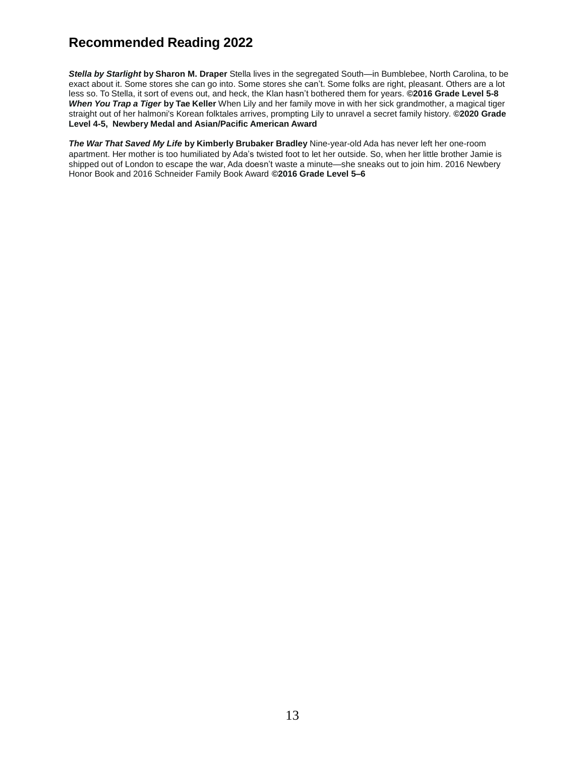*Stella by Starlight* **by Sharon M. Draper** Stella lives in the segregated South—in Bumblebee, North Carolina, to be exact about it. Some stores she can go into. Some stores she can't. Some folks are right, pleasant. Others are a lot less so. To Stella, it sort of evens out, and heck, the Klan hasn't bothered them for years. **©2016 Grade Level 5-8**  *When You Trap a Tiger* **by Tae Keller** When Lily and her family move in with her sick grandmother, a magical tiger straight out of her halmoni's Korean folktales arrives, prompting Lily to unravel a secret family history. **©2020 Grade Level 4-5, Newbery Medal and Asian/Pacific American Award**

*The War That Saved My Life* **by Kimberly Brubaker Bradley** Nine-year-old Ada has never left her one-room apartment. Her mother is too humiliated by Ada's twisted foot to let her outside. So, when her little brother Jamie is shipped out of London to escape the war, Ada doesn't waste a minute—she sneaks out to join him. 2016 Newbery Honor Book and 2016 Schneider Family Book Award **©2016 Grade Level 5–6**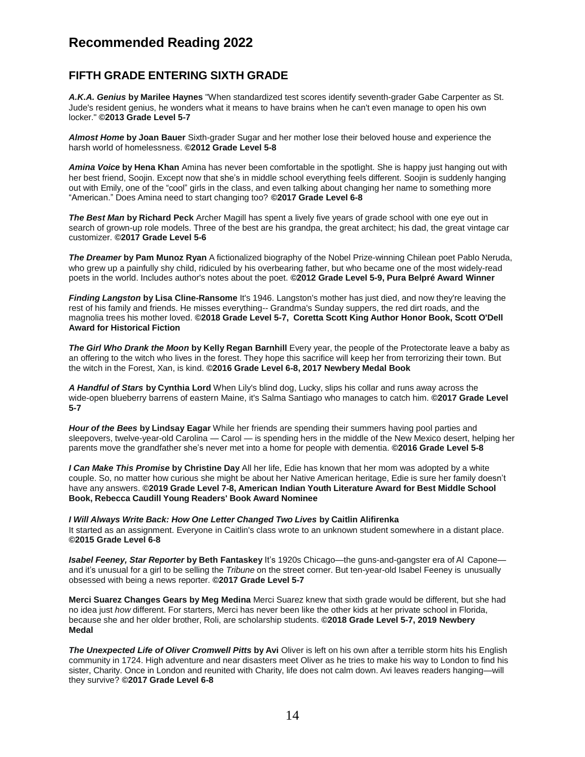#### **FIFTH GRADE ENTERING SIXTH GRADE**

*A.K.A. Genius* **by Marilee Haynes** "When standardized test scores identify seventh-grader Gabe Carpenter as St. Jude's resident genius, he wonders what it means to have brains when he can't even manage to open his own locker." **©2013 Grade Level 5-7**

*Almost Home* **by Joan Bauer** Sixth-grader Sugar and her mother lose their beloved house and experience the harsh world of homelessness. **©2012 Grade Level 5-8**

*Amina Voice* **by Hena Khan** Amina has never been comfortable in the spotlight. She is happy just hanging out with her best friend, Soojin. Except now that she's in middle school everything feels different. Soojin is suddenly hanging out with Emily, one of the "cool" girls in the class, and even talking about changing her name to something more "American." Does Amina need to start changing too? **©2017 Grade Level 6-8**

*The Best Man* **by Richard Peck** Archer Magill has spent a lively five years of grade school with one eye out in search of grown-up role models. Three of the best are his grandpa, the great architect; his dad, the great vintage car customizer. **©2017 Grade Level 5-6**

*The Dreamer* **by Pam Munoz Ryan** A fictionalized biography of the Nobel Prize-winning Chilean poet Pablo Neruda, who grew up a painfully shy child, ridiculed by his overbearing father, but who became one of the most widely-read poets in the world. Includes author's notes about the poet. **©2012 Grade Level 5-9, Pura Belpré Award Winner**

*Finding Langston* **by Lisa Cline-Ransome** It's 1946. Langston's mother has just died, and now they're leaving the rest of his family and friends. He misses everything-- Grandma's Sunday suppers, the red dirt roads, and the magnolia trees his mother loved. **©2018 Grade Level 5-7, Coretta Scott King Author Honor Book, Scott O'Dell Award for Historical Fiction**

*The Girl Who Drank the Moon* **by Kelly Regan Barnhill** Every year, the people of the Protectorate leave a baby as an offering to the witch who lives in the forest. They hope this sacrifice will keep her from terrorizing their town. But the witch in the Forest, Xan, is kind. **©2016 Grade Level 6-8, 2017 Newbery Medal Book**

*A Handful of Stars* **by Cynthia Lord** When Lily's blind dog, Lucky, slips his collar and runs away across the wide-open blueberry barrens of eastern Maine, it's Salma Santiago who manages to catch him. **©2017 Grade Level 5-7**

*Hour of the Bees* **by Lindsay Eagar** While her friends are spending their summers having pool parties and sleepovers, twelve-year-old Carolina — Carol — is spending hers in the middle of the New Mexico desert, helping her parents move the grandfather she's never met into a home for people with dementia. **©2016 Grade Level 5-8**

*I Can Make This Promise* **by [Christine](https://www.goodreads.com/author/show/17843274.Christine_Day) Day** All her life, Edie has known that her mom was adopted by a white couple. So, no matter how curious she might be about her Native American heritage, Edie is sure her family doesn't have any answers. **©2019 Grade Level 7-8, American Indian Youth Literature Award for Best Middle School Book, Rebecca Caudill Young Readers' Book Award Nominee**

*I Will Always Write Back: How One Letter Changed Two Lives* **by Caitlin Alifirenka** It started as an assignment. Everyone in Caitlin's class wrote to an unknown student somewhere in a distant place. **©2015 Grade Level 6-8**

*Isabel Feeney, Star Reporter* **by Beth Fantaskey** It's 1920s Chicago—the guns-and-gangster era of Al Capone and it's unusual for a girl to be selling the *Tribune* on the street corner. But ten-year-old Isabel Feeney is unusually obsessed with being a news reporter. **©2017 Grade Level 5-7**

**Merci Suarez Changes Gears by Meg Medina** Merci Suarez knew that sixth grade would be different, but she had no idea just *how* different. For starters, Merci has never been like the other kids at her private school in Florida, because she and her older brother, Roli, are scholarship students. **©2018 Grade Level 5-7, 2019 Newbery Medal**

*The Unexpected Life of Oliver Cromwell Pitts* **by Avi** Oliver is left on his own after a terrible storm hits his English community in 1724. High adventure and near disasters meet Oliver as he tries to make his way to London to find his sister, Charity. Once in London and reunited with Charity, life does not calm down. Avi leaves readers hanging—will they survive? **©2017 Grade Level 6-8**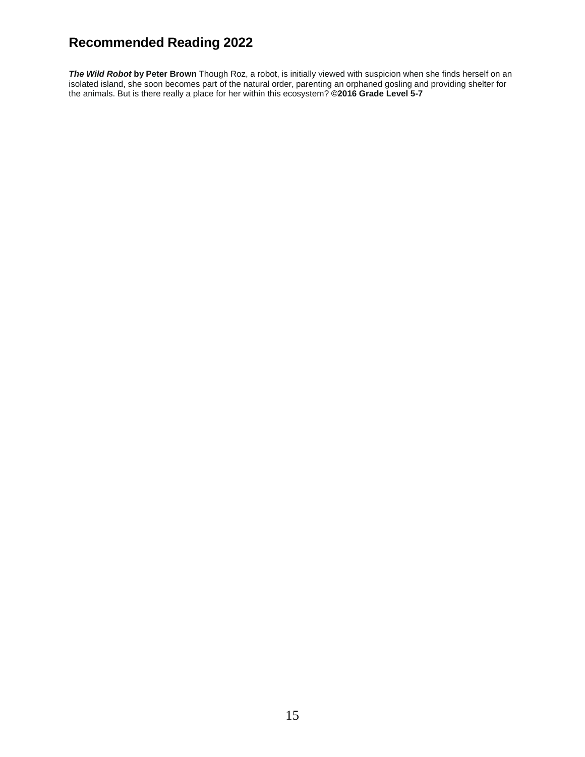*The Wild Robot* **by Peter Brown** Though Roz, a robot, is initially viewed with suspicion when she finds herself on an isolated island, she soon becomes part of the natural order, parenting an orphaned gosling and providing shelter for the animals. But is there really a place for her within this ecosystem? **©2016 Grade Level 5-7**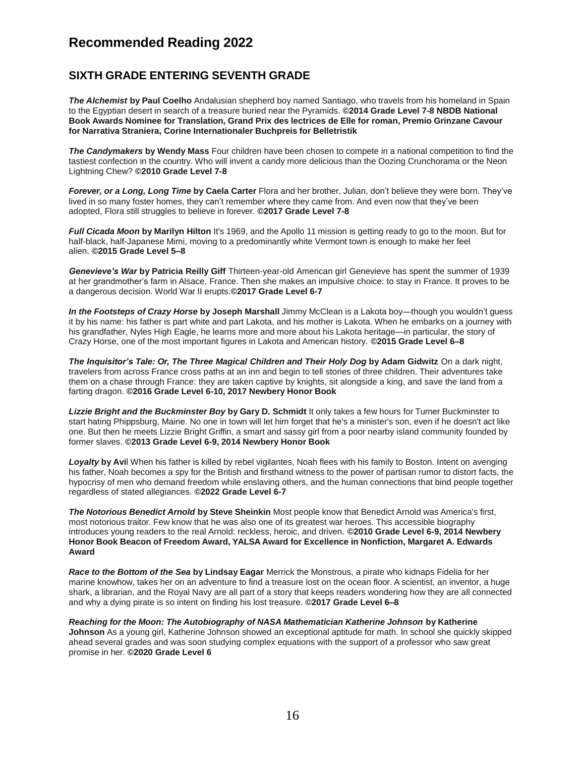#### **SIXTH GRADE ENTERING SEVENTH GRADE**

*The Alchemist* **by Paul Coelho** Andalusian shepherd boy named Santiago, who travels from his homeland in Spain to the Egyptian desert in search of a treasure buried near the Pyramids. **©2014 Grade Level 7-8 NBDB National Book Awards Nominee for Translation, Grand Prix des lectrices de Elle for roman, Premio Grinzane Cavour for Narrativa Straniera, Corine Internationaler Buchpreis for Belletristik**

*The Candymakers* **by Wendy Mass** Four children have been chosen to compete in a national competition to find the tastiest confection in the country. Who will invent a candy more delicious than the Oozing Crunchorama or the Neon Lightning Chew? **©2010 Grade Level 7-8**

*Forever, or a Long, Long Time* **by Caela Carter** Flora and her brother, Julian, don't believe they were born. They've lived in so many foster homes, they can't remember where they came from. And even now that they've been adopted, Flora still struggles to believe in forever. **©2017 Grade Level 7-8**

*Full Cicada Moon* **by Marilyn Hilton** It's 1969, and the Apollo 11 mission is getting ready to go to the moon. But for half-black, half-Japanese Mimi, moving to a predominantly white Vermont town is enough to make her feel alien. **©2015 Grade Level 5–8**

*Genevieve's War* **by Patricia Reilly Giff** Thirteen-year-old American girl Genevieve has spent the summer of 1939 at her grandmother's farm in Alsace, France. Then she makes an impulsive choice: to stay in France. It proves to be a dangerous decision. World War II erupts.**©2017 Grade Level 6-7**

*In the Footsteps of Crazy Horse* **by Joseph Marshall** Jimmy McClean is a Lakota boy—though you wouldn't guess it by his name: his father is part white and part Lakota, and his mother is Lakota. When he embarks on a journey with his grandfather, Nyles High Eagle, he learns more and more about his Lakota heritage—in particular, the story of Crazy Horse, one of the most important figures in Lakota and American history. **©2015 Grade Level 6–8**

*The Inquisitor's Tale: Or, The Three Magical Children and Their Holy Dog* **by Adam Gidwitz** On a dark night, travelers from across France cross paths at an inn and begin to tell stories of three children. Their adventures take them on a chase through France: they are taken captive by knights, sit alongside a king, and save the land from a farting dragon. **©2016 Grade Level 6-10, 2017 Newbery Honor Book**

*Lizzie Bright and the Buckminster Boy* **by Gary D. Schmidt** It only takes a few hours for Turner Buckminster to start hating Phippsburg, Maine. No one in town will let him forget that he's a minister's son, even if he doesn't act like one. But then he meets Lizzie Bright Griffin, a smart and sassy girl from a poor nearby island community founded by former slaves. **©2013 Grade Level 6-9, 2014 Newbery Honor Book**

*Loyalty* **by Avi**l When his father is killed by rebel vigilantes, Noah flees with his family to Boston. Intent on avenging his father, Noah becomes a spy for the British and firsthand witness to the power of partisan rumor to distort facts, the hypocrisy of men who demand freedom while enslaving others, and the human connections that bind people together regardless of stated allegiances. **©2022 Grade Level 6-7**

*The Notorious Benedict Arnold* **by Steve Sheinkin** Most people know that Benedict Arnold was America's first, most notorious traitor. Few know that he was also one of its greatest war heroes. This accessible biography introduces young readers to the real Arnold: reckless, heroic, and driven. **©2010 Grade Level 6-9, 2014 Newbery Honor Book Beacon of Freedom Award, YALSA Award for Excellence in Nonfiction, Margaret A. Edwards Award**

*Race to the Bottom of the Sea* **by Lindsay Eagar** Merrick the Monstrous, a pirate who kidnaps Fidelia for her marine knowhow, takes her on an adventure to find a treasure lost on the ocean floor. A scientist, an inventor, a huge shark, a librarian, and the Royal Navy are all part of a story that keeps readers wondering how they are all connected and why a dying pirate is so intent on finding his lost treasure. **©2017 Grade Level 6–8**

*Reaching for the Moon: The Autobiography of NASA Mathematician Katherine Johnson* **by Katherine Johnson** As a young girl, Katherine Johnson showed an exceptional aptitude for math. In school she quickly skipped ahead several grades and was soon studying complex equations with the support of a professor who saw great promise in her. **©2020 Grade Level 6**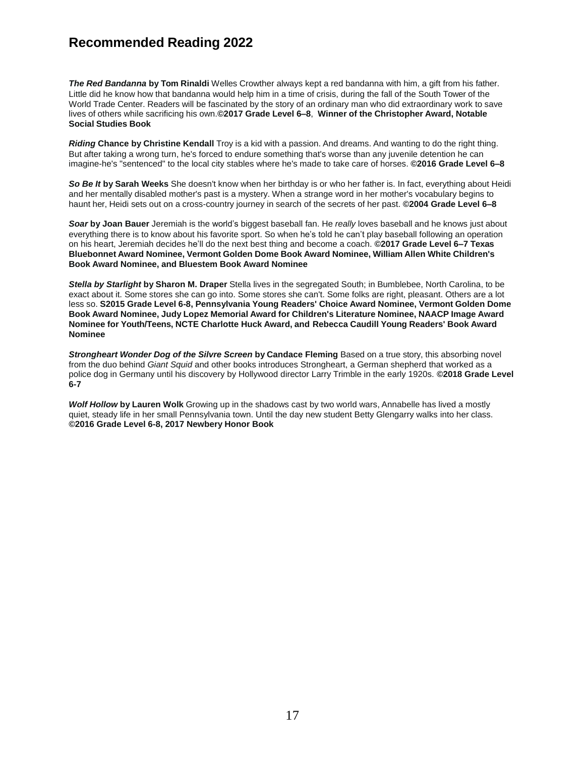*The Red Bandanna* **by Tom Rinaldi** Welles Crowther always kept a red bandanna with him, a gift from his father. Little did he know how that bandanna would help him in a time of crisis, during the fall of the South Tower of the World Trade Center. Readers will be fascinated by the story of an ordinary man who did extraordinary work to save lives of others while sacrificing his own.**©2017 Grade Level 6–8**, **Winner of the Christopher Award, Notable Social Studies Book**

*Riding* **Chance by Christine Kendall** Troy is a kid with a passion. And dreams. And wanting to do the right thing. But after taking a wrong turn, he's forced to endure something that's worse than any juvenile detention he can imagine-he's "sentenced" to the local city stables where he's made to take care of horses. **©2016 Grade Level 6–8**

*So Be It* **by Sarah Weeks** She doesn't know when her birthday is or who her father is. In fact, everything about Heidi and her mentally disabled mother's past is a mystery. When a strange word in her mother's vocabulary begins to haunt her, Heidi sets out on a cross-country journey in search of the secrets of her past. **©2004 Grade Level 6–8**

*Soar* **by Joan Bauer** Jeremiah is the world's biggest baseball fan. He *really* loves baseball and he knows just about everything there is to know about his favorite sport. So when he's told he can't play baseball following an operation on his heart, Jeremiah decides he'll do the next best thing and become a coach. **©2017 Grade Level 6–7 Texas Bluebonnet Award Nominee, Vermont Golden Dome Book Award Nominee, William Allen White Children's Book Award Nominee, and Bluestem Book Award Nominee**

*Stella by Starlight* **by Sharon M. Draper** Stella lives in the segregated South; in Bumblebee, North Carolina, to be exact about it. Some stores she can go into. Some stores she can't. Some folks are right, pleasant. Others are a lot less so. **S2015 Grade Level 6-8, Pennsylvania Young Readers' Choice Award Nominee, Vermont Golden Dome Book Award Nominee, Judy Lopez Memorial Award for Children's Literature Nominee, NAACP Image Award Nominee for Youth/Teens, NCTE Charlotte Huck Award, and Rebecca Caudill Young Readers' Book Award Nominee**

*Strongheart Wonder Dog of the Silvre Screen* **by Candace Fleming** Based on a true story, this absorbing novel from the duo behind *Giant Squid* and other books introduces Strongheart, a German shepherd that worked as a police dog in Germany until his discovery by Hollywood director Larry Trimble in the early 1920s. **©2018 Grade Level 6-7**

*Wolf Hollow* **by Lauren Wolk** Growing up in the shadows cast by two world wars, Annabelle has lived a mostly quiet, steady life in her small Pennsylvania town. Until the day new student Betty Glengarry walks into her class. **©2016 Grade Level 6-8, 2017 Newbery Honor Book**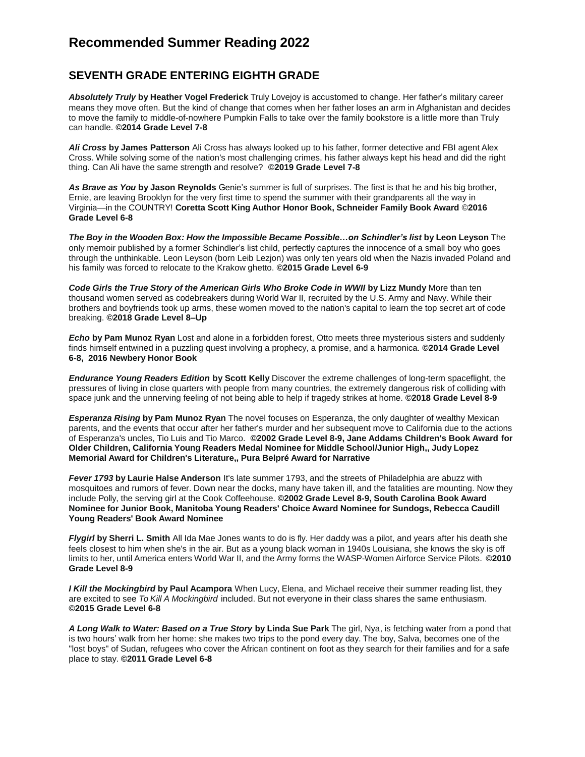## **Recommended Summer Reading 2022**

#### **SEVENTH GRADE ENTERING EIGHTH GRADE**

*Absolutely Truly* **by Heather Vogel Frederick** Truly Lovejoy is accustomed to change. Her father's military career means they move often. But the kind of change that comes when her father loses an arm in Afghanistan and decides to move the family to middle-of-nowhere Pumpkin Falls to take over the family bookstore is a little more than Truly can handle. **©2014 Grade Level 7-8**

*Ali Cross* **by James Patterson** Ali Cross has always looked up to his father, former detective and FBI agent Alex Cross. While solving some of the nation's most challenging crimes, his father always kept his head and did the right thing. Can Ali have the same strength and resolve? **©2019 Grade Level 7-8**

*As Brave as You* **by Jason Reynolds** Genie's summer is full of surprises. The first is that he and his big brother, Ernie, are leaving Brooklyn for the very first time to spend the summer with their grandparents all the way in Virginia—in the COUNTRY! **Coretta Scott King Author Honor Book, Schneider Family Book Award** ©**2016 Grade Level 6-8**

*The Boy in the Wooden Box: How the Impossible Became Possible…on Schindler's list* **by Leon Leyson** The only memoir published by a former Schindler's list child, perfectly captures the innocence of a small boy who goes through the unthinkable. Leon Leyson (born Leib Lezjon) was only ten years old when the Nazis invaded Poland and his family was forced to relocate to the Krakow ghetto. **©2015 Grade Level 6-9**

*Code Girls the True Story of the American Girls Who Broke Code in WWII* **by Lizz Mundy** More than ten thousand women served as codebreakers during World War II, recruited by the U.S. Army and Navy. While their brothers and boyfriends took up arms, these women moved to the nation's capital to learn the top secret art of code breaking. **©2018 Grade Level 8–Up**

*Echo* **by Pam Munoz Ryan** Lost and alone in a forbidden forest, Otto meets three mysterious sisters and suddenly finds himself entwined in a puzzling quest involving a prophecy, a promise, and a harmonica. **©2014 Grade Level 6-8, 2016 Newbery Honor Book**

*Endurance Young Readers Edition* **by Scott Kelly** Discover the extreme challenges of long-term spaceflight, the pressures of living in close quarters with people from many countries, the extremely dangerous risk of colliding with space junk and the unnerving feeling of not being able to help if tragedy strikes at home. **©2018 Grade Level 8-9**

*Esperanza Rising* **by Pam Munoz Ryan** The novel focuses on Esperanza, the only daughter of wealthy Mexican parents, and the events that occur after her father's murder and her subsequent move to California due to the actions of Esperanza's uncles, Tio Luis and Tio Marco. **©2002 Grade Level 8-9, Jane Addams Children's Book Award for Older Children, California Young Readers Medal Nominee for Middle School/Junior High,, Judy Lopez Memorial Award for Children's Literature,, Pura Belpré Award for Narrative**

*Fever 1793* **by Laurie Halse Anderson** It's late summer 1793, and the streets of Philadelphia are abuzz with mosquitoes and rumors of fever. Down near the docks, many have taken ill, and the fatalities are mounting. Now they include Polly, the serving girl at the Cook Coffeehouse. **©2002 Grade Level 8-9, South Carolina Book Award Nominee for Junior Book, Manitoba Young Readers' Choice Award Nominee for Sundogs, Rebecca Caudill Young Readers' Book Award Nominee**

*Flygirl* **by Sherri L. Smith** All Ida Mae Jones wants to do is fly. Her daddy was a pilot, and years after his death she feels closest to him when she's in the air. But as a young black woman in 1940s Louisiana, she knows the sky is off limits to her, until America enters World War II, and the Army forms the WASP-Women Airforce Service Pilots. **©2010 Grade Level 8-9**

*I Kill the Mockingbird* **by Paul Acampora** When Lucy, Elena, and Michael receive their summer reading list, they are excited to see *To Kill A Mockingbird* included. But not everyone in their class shares the same enthusiasm. **©2015 Grade Level 6-8**

*A Long Walk to Water: Based on a True Story* **by Linda Sue Park** The girl, Nya, is fetching water from a pond that is two hours' walk from her home: she makes two trips to the pond every day. The boy, Salva, becomes one of the "lost boys" of Sudan, refugees who cover the African continent on foot as they search for their families and for a safe place to stay. **©2011 Grade Level 6-8**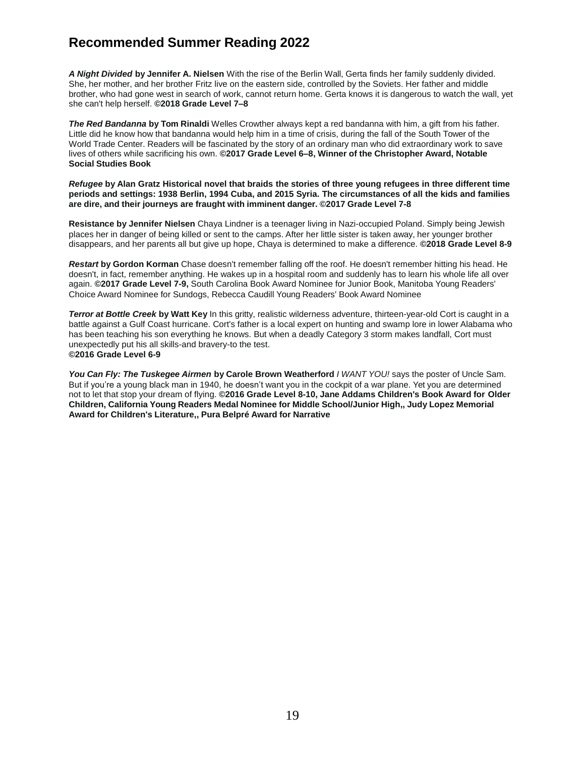## **Recommended Summer Reading 2022**

*A Night Divided* **by Jennifer A. Nielsen** With the rise of the Berlin Wall, Gerta finds her family suddenly divided. She, her mother, and her brother Fritz live on the eastern side, controlled by the Soviets. Her father and middle brother, who had gone west in search of work, cannot return home. Gerta knows it is dangerous to watch the wall, yet she can't help herself. **©2018 Grade Level 7–8**

*The Red Bandanna* **by Tom Rinaldi** Welles Crowther always kept a red bandanna with him, a gift from his father. Little did he know how that bandanna would help him in a time of crisis, during the fall of the South Tower of the World Trade Center. Readers will be fascinated by the story of an ordinary man who did extraordinary work to save lives of others while sacrificing his own. **©2017 Grade Level 6–8, Winner of the Christopher Award, Notable Social Studies Book**

#### Refugee by Alan Gratz Historical novel that braids the stories of three young refugees in three different time periods and settings: 1938 Berlin, 1994 Cuba, and 2015 Syria. The circumstances of all the kids and families **are dire, and their journeys are fraught with imminent danger. ©2017 Grade Level 7-8**

**Resistance by Jennifer Nielsen** Chaya Lindner is a teenager living in Nazi-occupied Poland. Simply being Jewish places her in danger of being killed or sent to the camps. After her little sister is taken away, her younger brother disappears, and her parents all but give up hope, Chaya is determined to make a difference. **©2018 Grade Level 8-9**

*Restart* **by Gordon Korman** Chase doesn't remember falling off the roof. He doesn't remember hitting his head. He doesn't, in fact, remember anything. He wakes up in a hospital room and suddenly has to learn his whole life all over again. **©2017 Grade Level 7-9,** South Carolina Book Award Nominee for Junior Book, Manitoba Young Readers' Choice Award Nominee for Sundogs, Rebecca Caudill Young Readers' Book Award Nominee

*Terror at Bottle Creek* **by Watt Key** In this gritty, realistic wilderness adventure, thirteen-year-old Cort is caught in a battle against a Gulf Coast hurricane. Cort's father is a local expert on hunting and swamp lore in lower Alabama who has been teaching his son everything he knows. But when a deadly Category 3 storm makes landfall, Cort must unexpectedly put his all skills-and bravery-to the test. **©2016 Grade Level 6-9**

*You Can Fly: The Tuskegee Airmen* **by Carole Brown Weatherford** *I WANT YOU!* says the poster of Uncle Sam. But if you're a young black man in 1940, he doesn't want you in the cockpit of a war plane. Yet you are determined not to let that stop your dream of flying. **©2016 Grade Level 8-10, Jane Addams Children's Book Award for Older Children, California Young Readers Medal Nominee for Middle School/Junior High,, Judy Lopez Memorial Award for Children's Literature,, Pura Belpré Award for Narrative**